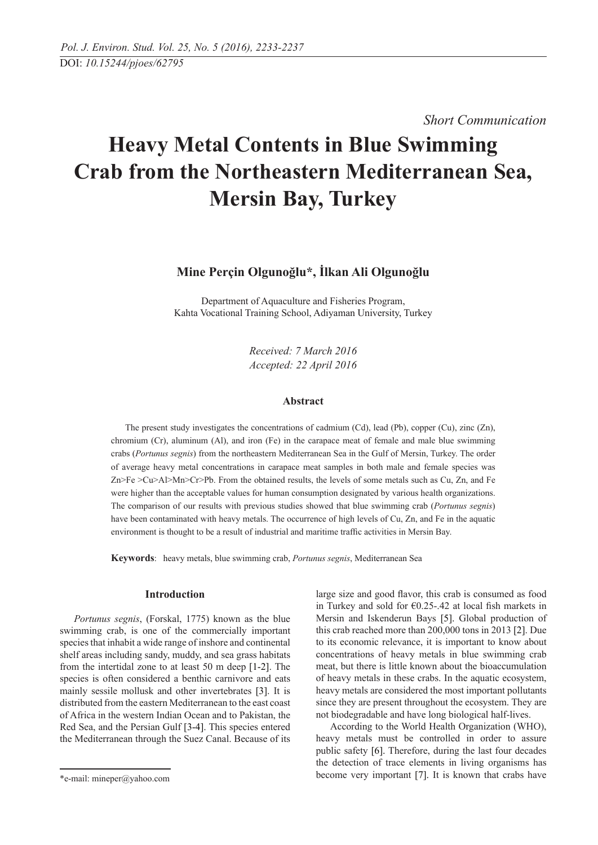*Short Communication* 

# **Heavy Metal Contents in Blue Swimming Crab from the Northeastern Mediterranean Sea, Mersin Bay, Turkey**

# **Mine Perçin Olgunoğlu\*, İlkan Ali Olgunoğlu**

Department of Aquaculture and Fisheries Program, Kahta Vocational Training School, Adiyaman University, Turkey

> *Received: 7 March 2016 Accepted: 22 April 2016*

# **Abstract**

The present study investigates the concentrations of cadmium (Cd), lead (Pb), copper (Cu), zinc (Zn), chromium (Cr), aluminum (Al), and iron (Fe) in the carapace meat of female and male blue swimming crabs (*Portunus segnis*) from the northeastern Mediterranean Sea in the Gulf of Mersin, Turkey. The order of average heavy metal concentrations in carapace meat samples in both male and female species was Zn>Fe >Cu>Al>Mn>Cr>Pb. From the obtained results, the levels of some metals such as Cu, Zn, and Fe were higher than the acceptable values for human consumption designated by various health organizations. The comparison of our results with previous studies showed that blue swimming crab (*Portunus segnis*) have been contaminated with heavy metals. The occurrence of high levels of Cu, Zn, and Fe in the aquatic environment is thought to be a result of industrial and maritime traffic activities in Mersin Bay.

**Keywords**: heavy metals, blue swimming crab, *Portunus segnis*, Mediterranean Sea

# **Introduction**

*Portunus segnis*, (Forskal, 1775) known as the blue swimming crab, is one of the commercially important species that inhabit a wide range of inshore and continental shelf areas including sandy, muddy, and sea grass habitats from the intertidal zone to at least 50 m deep [1-2]. The species is often considered a benthic carnivore and eats mainly sessile mollusk and other invertebrates [3]. It is distributed from the eastern Mediterranean to the east coast of Africa in the western Indian Ocean and to Pakistan, the Red Sea, and the Persian Gulf [3-4]. This species entered the Mediterranean through the Suez Canal. Because of its

large size and good flavor, this crab is consumed as food in Turkey and sold for €0.25-.42 at local fish markets in Mersin and Iskenderun Bays [5]. Global production of this crab reached more than 200,000 tons in 2013 [2]. Due to its economic relevance, it is important to know about concentrations of heavy metals in blue swimming crab meat, but there is little known about the bioaccumulation of heavy metals in these crabs. In the aquatic ecosystem, heavy metals are considered the most important pollutants since they are present throughout the ecosystem. They are not biodegradable and have long biological half-lives.

According to the World Health Organization (WHO), heavy metals must be controlled in order to assure public safety [6]. Therefore, during the last four decades the detection of trace elements in living organisms has become very important [7]. It is known that crabs have

<sup>\*</sup>e-mail: mineper@yahoo.com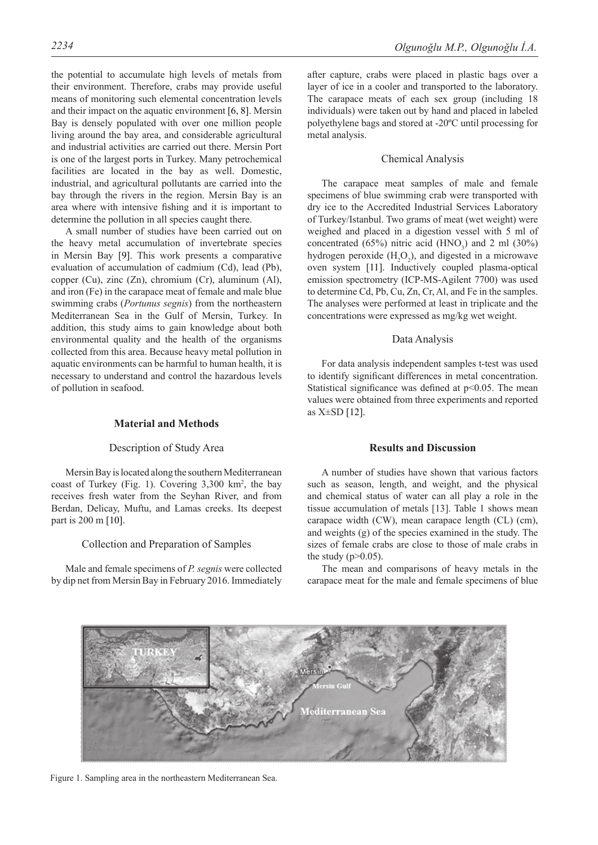the potential to accumulate high levels of metals from their environment. Therefore, crabs may provide useful means of monitoring such elemental concentration levels and their impact on the aquatic environment [6, 8]. Mersin Bay is densely populated with over one million people living around the bay area, and considerable agricultural and industrial activities are carried out there. Mersin Port is one of the largest ports in Turkey. Many petrochemical facilities are located in the bay as well. Domestic, industrial, and agricultural pollutants are carried into the bay through the rivers in the region. Mersin Bay is an area where with intensive fishing and it is important to determine the pollution in all species caught there.

A small number of studies have been carried out on the heavy metal accumulation of invertebrate species in Mersin Bay [9]. This work presents a comparative evaluation of accumulation of cadmium (Cd), lead (Pb), copper (Cu), zinc (Zn), chromium (Cr), aluminum (Al), and iron (Fe) in the carapace meat of female and male blue swimming crabs (*Portunus segnis*) from the northeastern Mediterranean Sea in the Gulf of Mersin, Turkey. In addition, this study aims to gain knowledge about both environmental quality and the health of the organisms collected from this area. Because heavy metal pollution in aquatic environments can be harmful to human health, it is necessary to understand and control the hazardous levels of pollution in seafood.

# **Material and Methods**

# Description of Study Area

Mersin Bay is located along the southern Mediterranean coast of Turkey (Fig. 1). Covering 3,300 km2 , the bay receives fresh water from the Seyhan River, and from Berdan, Delicay, Muftu, and Lamas creeks. Its deepest part is 200 m [10].

### Collection and Preparation of Samples

Male and female specimens of *P. segnis* were collected by dip net from Mersin Bay in February 2016. Immediately

after capture, crabs were placed in plastic bags over a layer of ice in a cooler and transported to the laboratory. The carapace meats of each sex group (including 18 individuals) were taken out by hand and placed in labeled polyethylene bags and stored at -20ºC until processing for metal analysis.

#### Chemical Analysis

The carapace meat samples of male and female specimens of blue swimming crab were transported with dry ice to the Accredited Industrial Services Laboratory of Turkey/Istanbul. Two grams of meat (wet weight) were weighed and placed in a digestion vessel with 5 ml of concentrated (65%) nitric acid (HNO<sub>3</sub>) and 2 ml (30%) hydrogen peroxide  $(H_2O_2)$ , and digested in a microwave oven system [11]. Inductively coupled plasma-optical emission spectrometry (ICP-MS-Agilent 7700) was used to determine Cd, Pb, Cu, Zn, Cr, Al, and Fe in the samples. The analyses were performed at least in triplicate and the concentrations were expressed as mg/kg wet weight.

#### Data Analysis

For data analysis independent samples t-test was used to identify significant differences in metal concentration. Statistical significance was defined at  $p<0.05$ . The mean values were obtained from three experiments and reported as  $X\pm SD$  [12].

# **Results and Discussion**

A number of studies have shown that various factors such as season, length, and weight, and the physical and chemical status of water can all play a role in the tissue accumulation of metals [13]. Table 1 shows mean carapace width (CW), mean carapace length (CL) (cm), and weights (g) of the species examined in the study. The sizes of female crabs are close to those of male crabs in the study  $(p>0.05)$ .

The mean and comparisons of heavy metals in the carapace meat for the male and female specimens of blue



Figure 1. Sampling area in the northeastern Mediterranean Sea.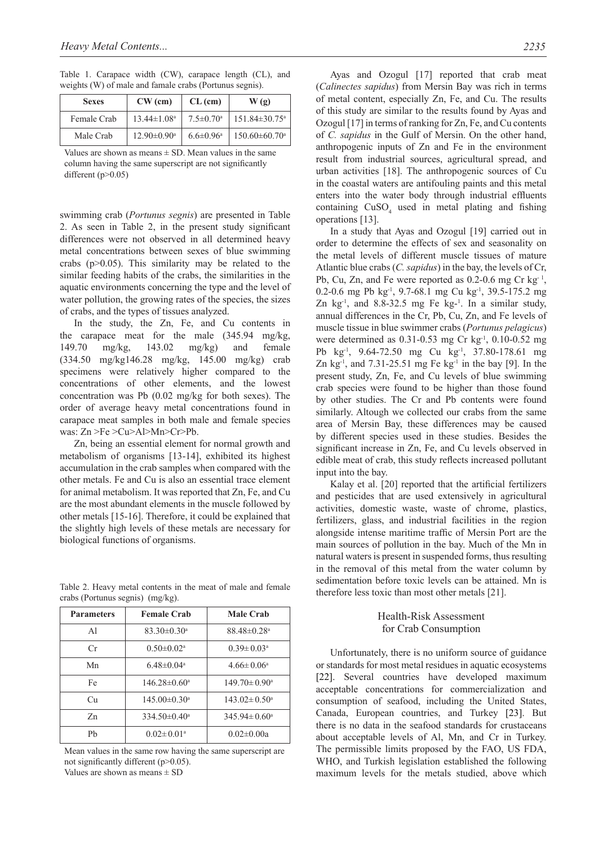Table 1. Carapace width (CW), carapace length (CL), and weights (W) of male and famale crabs (Portunus segnis).

| <b>Sexes</b> | $CW$ (cm)                     | CL (cm)                     | W(g)                            |
|--------------|-------------------------------|-----------------------------|---------------------------------|
| Female Crab  | $13.44 \pm 1.08$ <sup>a</sup> | $7.5 \pm 0.70$ <sup>a</sup> | $151.84 \pm 30.75$ <sup>a</sup> |
| Male Crab    | $12.90 \pm 0.90^{\mathrm{a}}$ | $6.6 \pm 0.96^{\text{a}}$   | $150.60\pm 60.70$ <sup>a</sup>  |

Values are shown as means  $\pm$  SD. Mean values in the same column having the same superscript are not significantly different  $(p>0.05)$ 

swimming crab (*Portunus segnis*) are presented in Table 2. As seen in Table 2, in the present study significant differences were not observed in all determined heavy metal concentrations between sexes of blue swimming crabs  $(p>0.05)$ . This similarity may be related to the similar feeding habits of the crabs, the similarities in the aquatic environments concerning the type and the level of water pollution, the growing rates of the species, the sizes of crabs, and the types of tissues analyzed.

In the study, the Zn, Fe, and Cu contents in the carapace meat for the male (345.94 mg/kg, 149.70 mg/kg, 143.02 mg/kg) and female (334.50 mg/kg146.28 mg/kg, 145.00 mg/kg) crab specimens were relatively higher compared to the concentrations of other elements, and the lowest concentration was Pb (0.02 mg/kg for both sexes). The order of average heavy metal concentrations found in carapace meat samples in both male and female species was: Zn >Fe >Cu>Al>Mn>Cr>Pb.

Zn, being an essential element for normal growth and metabolism of organisms [13-14], exhibited its highest accumulation in the crab samples when compared with the other metals. Fe and Cu is also an essential trace element for animal metabolism. It was reported that Zn, Fe, and Cu are the most abundant elements in the muscle followed by other metals [15-16]. Therefore, it could be explained that the slightly high levels of these metals are necessary for biological functions of organisms.

Table 2. Heavy metal contents in the meat of male and female crabs (Portunus segnis) (mg/kg).

| <b>Parameters</b> | <b>Female Crab</b>           | <b>Male Crab</b>          |
|-------------------|------------------------------|---------------------------|
| A <sup>1</sup>    | $83.30\pm0.30^{\circ}$       | $88.48\pm0.28^{\circ}$    |
| Cr                | $0.50 \pm 0.02$ <sup>a</sup> | $0.39 \pm 0.03^a$         |
| Mn                | $6.48 \pm 0.04$ <sup>a</sup> | $4.66 \pm 0.06^a$         |
| Fe                | $146.28 \pm 0.60^a$          | $149.70 \pm 0.90^{\circ}$ |
| Cu                | $145.00 \pm 0.30^{\circ}$    | $143.02 \pm 0.50^{\circ}$ |
| Zn                | $334.50\pm0.40^a$            | $345.94 \pm 0.60^{\circ}$ |
| Ph                | $0.02 \pm 0.01$ <sup>a</sup> | $0.02 \pm 0.00a$          |

Mean values in the same row having the same superscript are not significantly different (p>0.05). Values are shown as means  $\pm$  SD

Ayas and Ozogul [17] reported that crab meat (*Calinectes sapidus*) from Mersin Bay was rich in terms of metal content, especially Zn, Fe, and Cu. The results of this study are similar to the results found by Ayas and Ozogul [17] in terms of ranking for Zn, Fe, and Cu contents of *C. sapidus* in the Gulf of Mersin. On the other hand, anthropogenic inputs of Zn and Fe in the environment result from industrial sources, agricultural spread, and urban activities [18]. The anthropogenic sources of Cu in the coastal waters are antifouling paints and this metal enters into the water body through industrial effluents containing  $CuSO<sub>4</sub>$  used in metal plating and fishing operations [13].

In a study that Ayas and Ozogul [19] carried out in order to determine the effects of sex and seasonality on the metal levels of different muscle tissues of mature Atlantic blue crabs (*C. sapidus*) in the bay, the levels of Cr, Pb, Cu, Zn, and Fe were reported as  $0.2$ -0.6 mg Cr kg<sup>-1</sup>, 0.2-0.6 mg Pb kg<sup>-1</sup>, 9.7-68.1 mg Cu kg<sup>-1</sup>, 39.5-175.2 mg Zn  $kg<sup>-1</sup>$ , and 8.8-32.5 mg Fe  $kg<sup>-1</sup>$ . In a similar study, annual differences in the Cr, Pb, Cu, Zn, and Fe levels of muscle tissue in blue swimmer crabs (*Portunus pelagicus*) were determined as  $0.31 - 0.53$  mg Cr kg<sup>-1</sup>,  $0.10 - 0.52$  mg Pb kg<sup>-1</sup>, 9.64-72.50 mg Cu kg<sup>-1</sup>, 37.80-178.61 mg Zn  $kg<sup>-1</sup>$ , and 7.31-25.51 mg Fe  $kg<sup>-1</sup>$  in the bay [9]. In the present study, Zn, Fe, and Cu levels of blue swimming crab species were found to be higher than those found by other studies. The Cr and Pb contents were found similarly. Altough we collected our crabs from the same area of Mersin Bay, these differences may be caused by different species used in these studies. Besides the significant increase in Zn, Fe, and Cu levels observed in edible meat of crab, this study reflects increased pollutant input into the bay.

Kalay et al. [20] reported that the artificial fertilizers and pesticides that are used extensively in agricultural activities, domestic waste, waste of chrome, plastics, fertilizers, glass, and industrial facilities in the region alongside intense maritime traffic of Mersin Port are the main sources of pollution in the bay. Much of the Mn in natural waters is present in suspended forms, thus resulting in the removal of this metal from the water column by sedimentation before toxic levels can be attained. Mn is therefore less toxic than most other metals [21].

# Health-Risk Assessment for Crab Consumption

Unfortunately, there is no uniform source of guidance or standards for most metal residues in aquatic ecosystems [22]. Several countries have developed maximum acceptable concentrations for commercialization and consumption of seafood, including the United States, Canada, European countries, and Turkey [23]. But there is no data in the seafood standards for crustaceans about acceptable levels of Al, Mn, and Cr in Turkey. The permissible limits proposed by the FAO, US FDA, WHO, and Turkish legislation established the following maximum levels for the metals studied, above which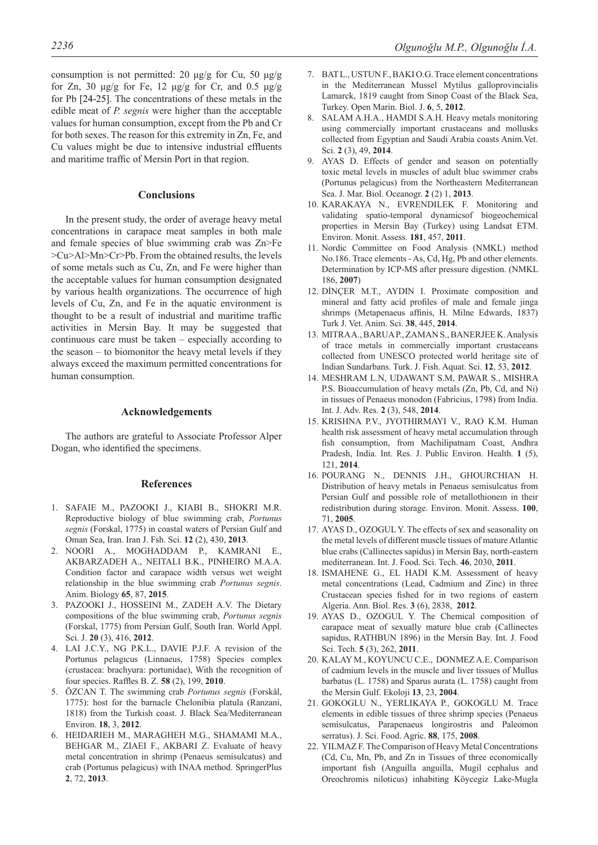consumption is not permitted: 20 μg/g for Cu, 50 μg/g for Zn, 30 μg/g for Fe, 12 μg/g for Cr, and 0.5 μg/g for Pb [24-25]. The concentrations of these metals in the edible meat of *P. segnis* were higher than the acceptable values for human consumption, except from the Pb and Cr for both sexes. The reason for this extremity in Zn, Fe, and Cu values might be due to intensive industrial effluents and maritime traffic of Mersin Port in that region.

# **Conclusions**

In the present study, the order of average heavy metal concentrations in carapace meat samples in both male and female species of blue swimming crab was Zn>Fe >Cu>Al>Mn>Cr>Pb. From the obtained results, the levels of some metals such as Cu, Zn, and Fe were higher than the acceptable values for human consumption designated by various health organizations. The occurrence of high levels of Cu, Zn, and Fe in the aquatic environment is thought to be a result of industrial and maritime traffic activities in Mersin Bay. It may be suggested that continuous care must be taken – especially according to the season – to biomonitor the heavy metal levels if they always exceed the maximum permitted concentrations for human consumption.

# **Acknowledgements**

The authors are grateful to Associate Professor Alper Dogan, who identified the specimens.

#### **References**

- 1. SAFAIE M., PAZOOKI J., KIABI B., SHOKRI M.R. Reproductive biology of blue swimming crab, *Portunus segnis* (Forskal, 1775) in coastal waters of Persian Gulf and Oman Sea, Iran. Iran J. Fsh. Sci. **12** (2), 430, **2013**.
- 2. NOORI A., MOGHADDAM P., KAMRANI E., AKBARZADEH A., NEITALI B.K., PINHEIRO M.A.A. Condition factor and carapace width versus wet weight relationship in the blue swimming crab *Portunus segnis*. Anim. Biology **65**, 87, **2015**.
- 3. PAZOOKI J., HOSSEINI M., ZADEH A.V. The Dietary compositions of the blue swimming crab, *Portunus segnis* (Forskal, 1775) from Persian Gulf, South Iran. World Appl. Sci. J. **20** (3), 416, **2012**.
- 4. LAI J.C.Y., NG P.K.L., DAVIE P.J.F. A revision of the Portunus pelagıcus (Linnaeus, 1758) Species complex (crustacea: brachyura: portunidae), With the recognition of four species. Raffles B. Z. **58** (2), 199, **2010**.
- 5. ÖZCAN T. The swimming crab *Portunus segnis* (Forskål, 1775): host for the barnacle Chelonibia platula (Ranzani, 1818) from the Turkish coast. J. Black Sea/Mediterranean Environ. **18**, 3, **2012**.
- 6. HEIDARIEH M., MARAGHEH M.G., SHAMAMI M.A., BEHGAR M., ZIAEI F., AKBARI Z. Evaluate of heavy metal concentration in shrimp (Penaeus semisulcatus) and crab (Portunus pelagicus) with INAA method. SpringerPlus **2**, 72, **2013**.
- 8. SALAM A.H.A., HAMDI S.A.H. Heavy metals monitoring using commercially important crustaceans and mollusks collected from Egyptian and Saudi Arabia coasts Anim.Vet. Sci. **2** (3), 49, **2014**.
- 9. AYAS D. Effects of gender and season on potentially toxic metal levels in muscles of adult blue swimmer crabs (Portunus pelagicus) from the Northeastern Mediterranean Sea. J. Mar. Biol. Oceanogr. **2** (2) 1, **2013**.
- 10. KARAKAYA N., EVRENDILEK F. Monitoring and validating spatio-temporal dynamicsof biogeochemical properties in Mersin Bay (Turkey) using Landsat ETM. Environ. Monit. Assess. **181**, 457, **2011**.
- 11. Nordic Committee on Food Analysis (NMKL) method No.186. Trace elements - As, Cd, Hg, Pb and other elements. Determination by ICP-MS after pressure digestion. (NMKL 186, **2007**)
- 12. DİNÇER M.T., AYDIN I. Proximate composition and mineral and fatty acid profiles of male and female jinga shrimps (Metapenaeus affinis, H. Milne Edwards, 1837) Turk J. Vet. Anim. Sci. **38**, 445, **2014**.
- 13. MITRA A., BARUA P., ZAMAN S., BANERJEE K. Analysis of trace metals in commercially important crustaceans collected from UNESCO protected world heritage site of Indian Sundarbans. Turk. J. Fish. Aquat. Sci. **12**, 53, **2012**.
- 14. MESHRAM L.N, UDAWANT S.M, PAWAR S., MISHRA P.S. Bioaccumulation of heavy metals (Zn, Pb, Cd, and Ni) in tissues of Penaeus monodon (Fabricius, 1798) from India. Int. J. Adv. Res. **2** (3), 548, **2014**.
- 15. KRISHNA P.V., JYOTHIRMAYI V., RAO K.M. Human health risk assessment of heavy metal accumulation through fish consumption, from Machilipatnam Coast, Andhra Pradesh, India. Int. Res. J. Public Environ. Health. **1** (5), 121, **2014**.
- 16. POURANG N., DENNIS J.H., GHOURCHIAN H. Distribution of heavy metals in Penaeus semisulcatus from Persian Gulf and possible role of metallothioneın in their redistribution during storage. Environ. Monit. Assess. **100**, 71, **2005**.
- 17. AYAS D., OZOGUL Y. The effects of sex and seasonality on the metal levels of different muscle tissues of mature Atlantic blue crabs (Callinectes sapidus) in Mersin Bay, north-eastern mediterranean. Int. J. Food. Sci. Tech. **46**, 2030, **2011**.
- 18. ISMAHENE G., EL HADI K.M. Assessment of heavy metal concentrations (Lead, Cadmium and Zinc) in three Crustacean species fished for in two regions of eastern Algeria. Ann. Biol. Res. **3** (6), 2838, **2012**.
- 19. AYAS D., OZOGUL Y. The Chemical composition of carapace meat of sexually mature blue crab (Callinectes sapidus, RATHBUN 1896) in the Mersin Bay. Int. J. Food Sci. Tech. **5** (3), 262, **2011**.
- 20. KALAY M., KOYUNCU C.E., DONMEZ A.E. Comparison of cadmium levels in the muscle and liver tissues of Mullus barbatus (L. 1758) and Sparus aurata (L. 1758) caught from the Mersin Gulf. Ekoloji **13**, 23, **2004**.
- 21. GOKOGLU N., YERLIKAYA P., GOKOGLU M. Trace elements in edible tissues of three shrimp species (Penaeus semisulcatus, Parapenaeus longirostris and Paleomon serratus). J. Sci. Food. Agric. **88**, 175, **2008**.
- 22. YILMAZ F. The Comparison of Heavy Metal Concentrations (Cd, Cu, Mn, Pb, and Zn in Tissues of three economically important fish (Anguilla anguilla, Mugil cephalus and Oreochromis niloticus) inhabiting Köycegiz Lake-Mugla